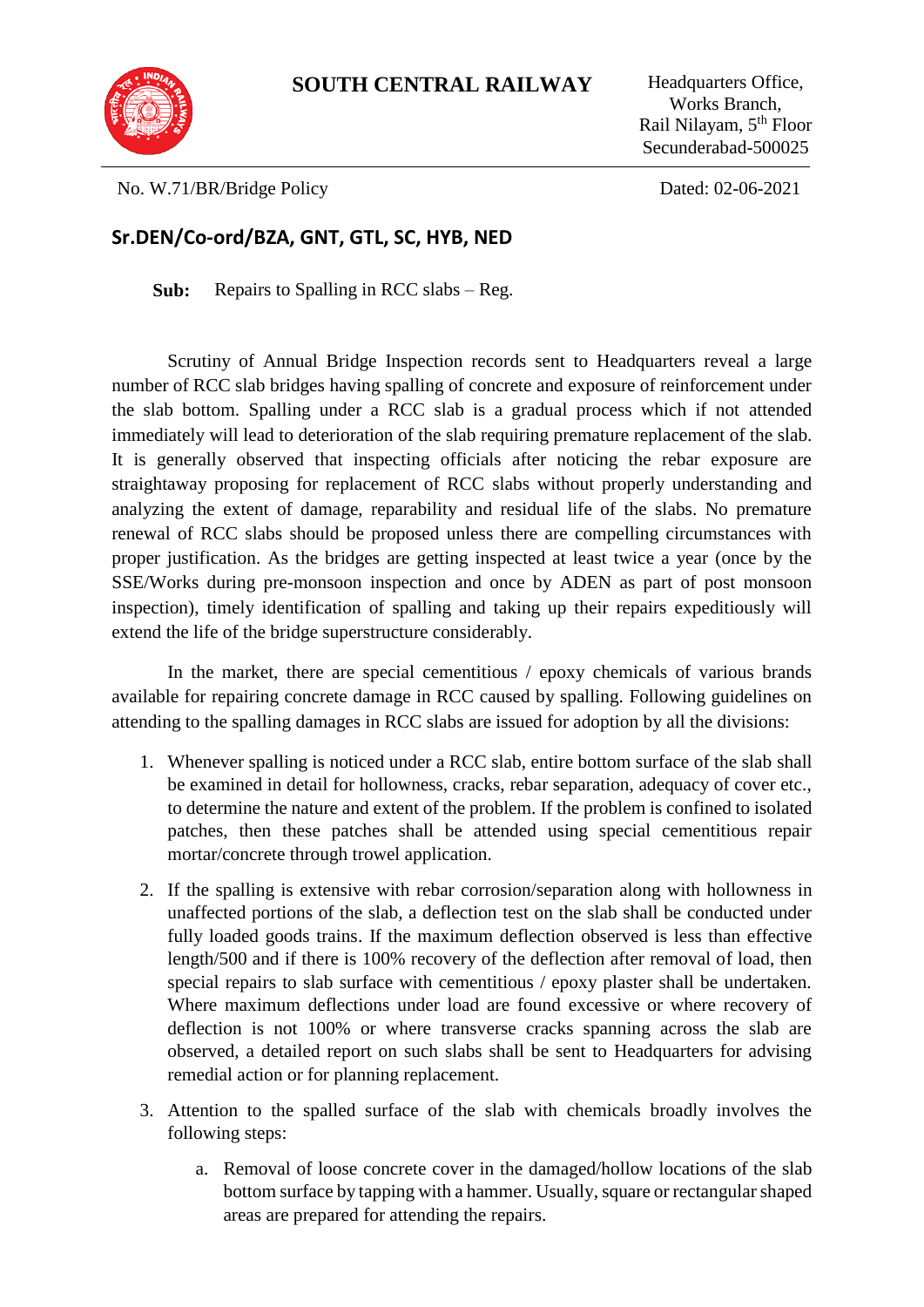

Works Branch, Rail Nilayam, 5th Floor Secunderabad-500025

No. W.71/BR/Bridge Policy Dated: 02-06-2021

## **Sr.DEN/Co-ord/BZA, GNT, GTL, SC, HYB, NED**

**Sub:** Repairs to Spalling in RCC slabs – Reg.

Scrutiny of Annual Bridge Inspection records sent to Headquarters reveal a large number of RCC slab bridges having spalling of concrete and exposure of reinforcement under the slab bottom. Spalling under a RCC slab is a gradual process which if not attended immediately will lead to deterioration of the slab requiring premature replacement of the slab. It is generally observed that inspecting officials after noticing the rebar exposure are straightaway proposing for replacement of RCC slabs without properly understanding and analyzing the extent of damage, reparability and residual life of the slabs. No premature renewal of RCC slabs should be proposed unless there are compelling circumstances with proper justification. As the bridges are getting inspected at least twice a year (once by the SSE/Works during pre-monsoon inspection and once by ADEN as part of post monsoon inspection), timely identification of spalling and taking up their repairs expeditiously will extend the life of the bridge superstructure considerably.

In the market, there are special cementitious / epoxy chemicals of various brands available for repairing concrete damage in RCC caused by spalling. Following guidelines on attending to the spalling damages in RCC slabs are issued for adoption by all the divisions:

- 1. Whenever spalling is noticed under a RCC slab, entire bottom surface of the slab shall be examined in detail for hollowness, cracks, rebar separation, adequacy of cover etc., to determine the nature and extent of the problem. If the problem is confined to isolated patches, then these patches shall be attended using special cementitious repair mortar/concrete through trowel application.
- 2. If the spalling is extensive with rebar corrosion/separation along with hollowness in unaffected portions of the slab, a deflection test on the slab shall be conducted under fully loaded goods trains. If the maximum deflection observed is less than effective length/500 and if there is 100% recovery of the deflection after removal of load, then special repairs to slab surface with cementitious / epoxy plaster shall be undertaken. Where maximum deflections under load are found excessive or where recovery of deflection is not 100% or where transverse cracks spanning across the slab are observed, a detailed report on such slabs shall be sent to Headquarters for advising remedial action or for planning replacement.
- 3. Attention to the spalled surface of the slab with chemicals broadly involves the following steps:
	- a. Removal of loose concrete cover in the damaged/hollow locations of the slab bottom surface by tapping with a hammer. Usually, square or rectangular shaped areas are prepared for attending the repairs.